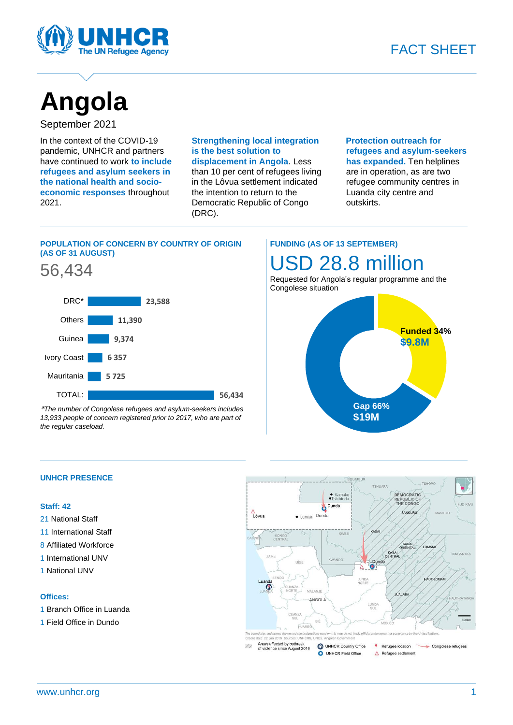



# **Angola**

# September 2021

In the context of the COVID-19 pandemic, UNHCR and partners have continued to work **to include refugees and asylum seekers in the national health and socioeconomic responses** throughout 2021.

# **Strengthening local integration is the best solution to displacement in Angola**. Less

than 10 per cent of refugees living in the Lôvua settlement indicated the intention to return to the Democratic Republic of Congo (DRC).

 **Protection outreach for refugees and asylum-seekers has expanded.** Ten helplines are in operation, as are two refugee community centres in Luanda city centre and outskirts.

# **POPULATION OF CONCERN BY COUNTRY OF ORIGIN (AS OF 31 AUGUST)**





\**The number of Congolese refugees and asylum-seekers includes 13,933 people of concern registered prior to 2017, who are part of the regular caseload.* 

# **FUNDING (AS OF 13 SEPTEMBER)** USD 28.8 million

Requested for Angola's regular programme and the Congolese situation



## **UNHCR PRESENCE**

#### **Staff: 42**

- 21 National Staff
- 11 International Staff
- 8 Affiliated Workforce
- 1 International UNV
- 1 National UNV

#### **Offices:**

- 1 Branch Office in Luanda
- 1 Field Office in Dundo

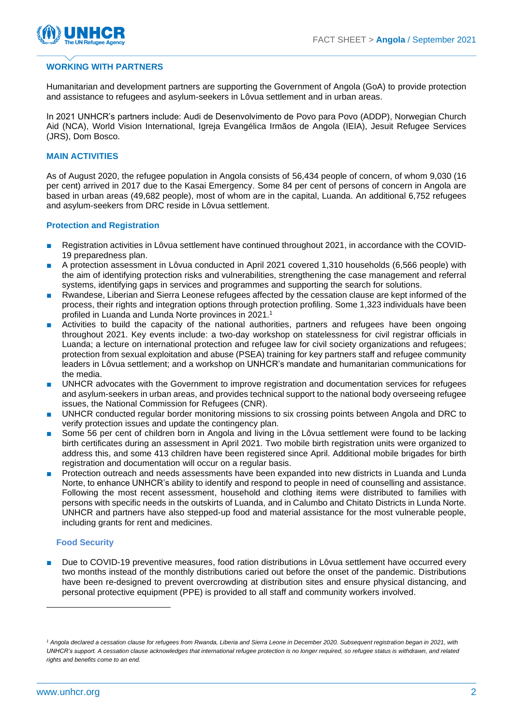

## **WORKING WITH PARTNERS**

Humanitarian and development partners are supporting the Government of Angola (GoA) to provide protection and assistance to refugees and asylum-seekers in Lôvua settlement and in urban areas.

In 2021 UNHCR's partners include: Audi de Desenvolvimento de Povo para Povo (ADDP), Norwegian Church Aid (NCA), World Vision International, Igreja Evangélica Irmãos de Angola (IEIA), Jesuit Refugee Services (JRS), Dom Bosco.

#### **MAIN ACTIVITIES**

As of August 2020, the refugee population in Angola consists of 56,434 people of concern, of whom 9,030 (16 per cent) arrived in 2017 due to the Kasai Emergency. Some 84 per cent of persons of concern in Angola are based in urban areas (49,682 people), most of whom are in the capital, Luanda. An additional 6,752 refugees and asylum-seekers from DRC reside in Lôvua settlement.

#### **Protection and Registration**

- Registration activities in Lôvua settlement have continued throughout 2021, in accordance with the COVID-19 preparedness plan.
- A protection assessment in Lôvua conducted in April 2021 covered 1,310 households (6,566 people) with the aim of identifying protection risks and vulnerabilities, strengthening the case management and referral systems, identifying gaps in services and programmes and supporting the search for solutions.
- Rwandese, Liberian and Sierra Leonese refugees affected by the cessation clause are kept informed of the process, their rights and integration options through protection profiling. Some 1,323 individuals have been profiled in Luanda and Lunda Norte provinces in 2021. 1
- Activities to build the capacity of the national authorities, partners and refugees have been ongoing throughout 2021. Key events include: a two-day workshop on statelessness for civil registrar officials in Luanda; a lecture on international protection and refugee law for civil society organizations and refugees; protection from sexual exploitation and abuse (PSEA) training for key partners staff and refugee community leaders in Lôvua settlement; and a workshop on UNHCR's mandate and humanitarian communications for the media.
- UNHCR advocates with the Government to improve registration and documentation services for refugees and asylum-seekers in urban areas, and provides technical support to the national body overseeing refugee issues, the National Commission for Refugees (CNR).
- UNHCR conducted regular border monitoring missions to six crossing points between Angola and DRC to verify protection issues and update the contingency plan.
- Some 56 per cent of children born in Angola and living in the Lôvua settlement were found to be lacking birth certificates during an assessment in April 2021. Two mobile birth registration units were organized to address this, and some 413 children have been registered since April. Additional mobile brigades for birth registration and documentation will occur on a regular basis.
- Protection outreach and needs assessments have been expanded into new districts in Luanda and Lunda Norte, to enhance UNHCR's ability to identify and respond to people in need of counselling and assistance. Following the most recent assessment, household and clothing items were distributed to families with persons with specific needs in the outskirts of Luanda, and in Calumbo and Chitato Districts in Lunda Norte. UNHCR and partners have also stepped-up food and material assistance for the most vulnerable people, including grants for rent and medicines.

#### **Food Security**

Due to COVID-19 preventive measures, food ration distributions in Lôvua settlement have occurred every two months instead of the monthly distributions caried out before the onset of the pandemic. Distributions have been re-designed to prevent overcrowding at distribution sites and ensure physical distancing, and personal protective equipment (PPE) is provided to all staff and community workers involved.

<sup>&</sup>lt;sup>1</sup> Angola declared a cessation clause for refugees from Rwanda, Liberia and Sierra Leone in December 2020. Subsequent registration began in 2021, with *UNHCR's support. A cessation clause acknowledges that international refugee protection is no longer required, so refugee status is withdrawn, and related rights and benefits come to an end.*